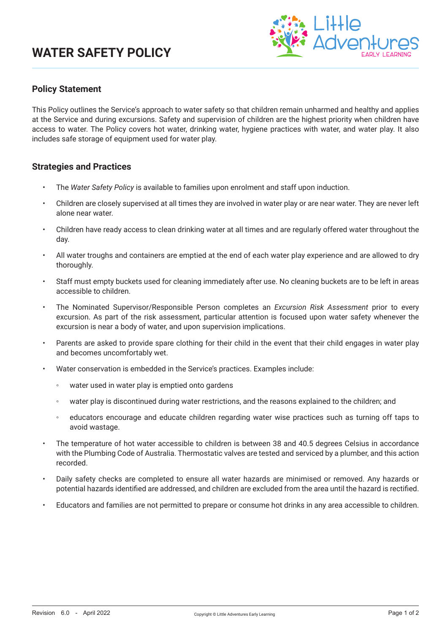# **WATER SAFETY POLICY**



### **Policy Statement**

This Policy outlines the Service's approach to water safety so that children remain unharmed and healthy and applies at the Service and during excursions. Safety and supervision of children are the highest priority when children have access to water. The Policy covers hot water, drinking water, hygiene practices with water, and water play. It also includes safe storage of equipment used for water play.

#### **Strategies and Practices**

- The *Water Safety Policy* is available to families upon enrolment and staff upon induction.
- Children are closely supervised at all times they are involved in water play or are near water. They are never left alone near water.
- Children have ready access to clean drinking water at all times and are regularly offered water throughout the day.
- All water troughs and containers are emptied at the end of each water play experience and are allowed to dry thoroughly.
- Staff must empty buckets used for cleaning immediately after use. No cleaning buckets are to be left in areas accessible to children.
- The Nominated Supervisor/Responsible Person completes an *Excursion Risk Assessment* prior to every excursion. As part of the risk assessment, particular attention is focused upon water safety whenever the excursion is near a body of water, and upon supervision implications.
- Parents are asked to provide spare clothing for their child in the event that their child engages in water play and becomes uncomfortably wet.
- Water conservation is embedded in the Service's practices. Examples include:
	- water used in water play is emptied onto gardens
	- water play is discontinued during water restrictions, and the reasons explained to the children; and
	- educators encourage and educate children regarding water wise practices such as turning off taps to avoid wastage.
- The temperature of hot water accessible to children is between 38 and 40.5 degrees Celsius in accordance with the Plumbing Code of Australia. Thermostatic valves are tested and serviced by a plumber, and this action recorded.
- Daily safety checks are completed to ensure all water hazards are minimised or removed. Any hazards or potential hazards identified are addressed, and children are excluded from the area until the hazard is rectified.
- Educators and families are not permitted to prepare or consume hot drinks in any area accessible to children.